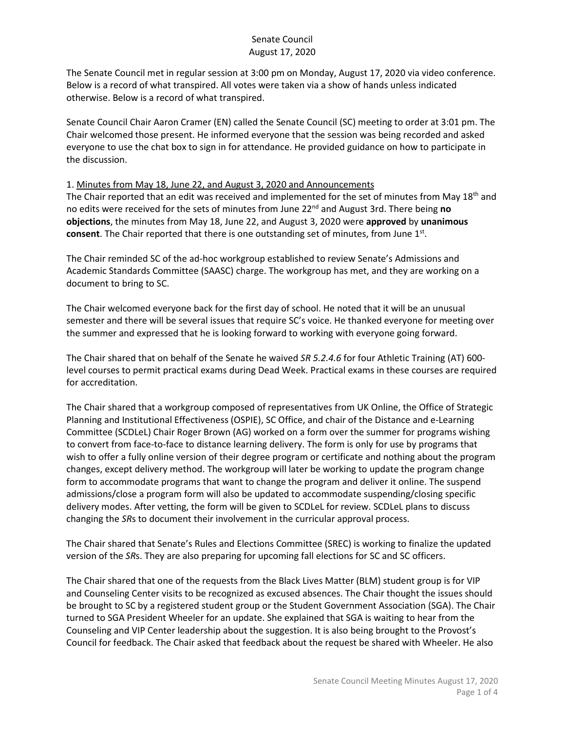# Senate Council August 17, 2020

The Senate Council met in regular session at 3:00 pm on Monday, August 17, 2020 via video conference. Below is a record of what transpired. All votes were taken via a show of hands unless indicated otherwise. Below is a record of what transpired.

Senate Council Chair Aaron Cramer (EN) called the Senate Council (SC) meeting to order at 3:01 pm. The Chair welcomed those present. He informed everyone that the session was being recorded and asked everyone to use the chat box to sign in for attendance. He provided guidance on how to participate in the discussion.

### 1. Minutes from May 18, June 22, and August 3, 2020 and Announcements

The Chair reported that an edit was received and implemented for the set of minutes from May 18<sup>th</sup> and no edits were received for the sets of minutes from June 22nd and August 3rd. There being **no objections**, the minutes from May 18, June 22, and August 3, 2020 were **approved** by **unanimous consent**. The Chair reported that there is one outstanding set of minutes, from June 1st.

The Chair reminded SC of the ad-hoc workgroup established to review Senate's Admissions and Academic Standards Committee (SAASC) charge. The workgroup has met, and they are working on a document to bring to SC.

The Chair welcomed everyone back for the first day of school. He noted that it will be an unusual semester and there will be several issues that require SC's voice. He thanked everyone for meeting over the summer and expressed that he is looking forward to working with everyone going forward.

The Chair shared that on behalf of the Senate he waived *SR 5.2.4.6* for four Athletic Training (AT) 600 level courses to permit practical exams during Dead Week. Practical exams in these courses are required for accreditation.

The Chair shared that a workgroup composed of representatives from UK Online, the Office of Strategic Planning and Institutional Effectiveness (OSPIE), SC Office, and chair of the Distance and e-Learning Committee (SCDLeL) Chair Roger Brown (AG) worked on a form over the summer for programs wishing to convert from face-to-face to distance learning delivery. The form is only for use by programs that wish to offer a fully online version of their degree program or certificate and nothing about the program changes, except delivery method. The workgroup will later be working to update the program change form to accommodate programs that want to change the program and deliver it online. The suspend admissions/close a program form will also be updated to accommodate suspending/closing specific delivery modes. After vetting, the form will be given to SCDLeL for review. SCDLeL plans to discuss changing the *SR*s to document their involvement in the curricular approval process.

The Chair shared that Senate's Rules and Elections Committee (SREC) is working to finalize the updated version of the *SR*s. They are also preparing for upcoming fall elections for SC and SC officers.

The Chair shared that one of the requests from the Black Lives Matter (BLM) student group is for VIP and Counseling Center visits to be recognized as excused absences. The Chair thought the issues should be brought to SC by a registered student group or the Student Government Association (SGA). The Chair turned to SGA President Wheeler for an update. She explained that SGA is waiting to hear from the Counseling and VIP Center leadership about the suggestion. It is also being brought to the Provost's Council for feedback. The Chair asked that feedback about the request be shared with Wheeler. He also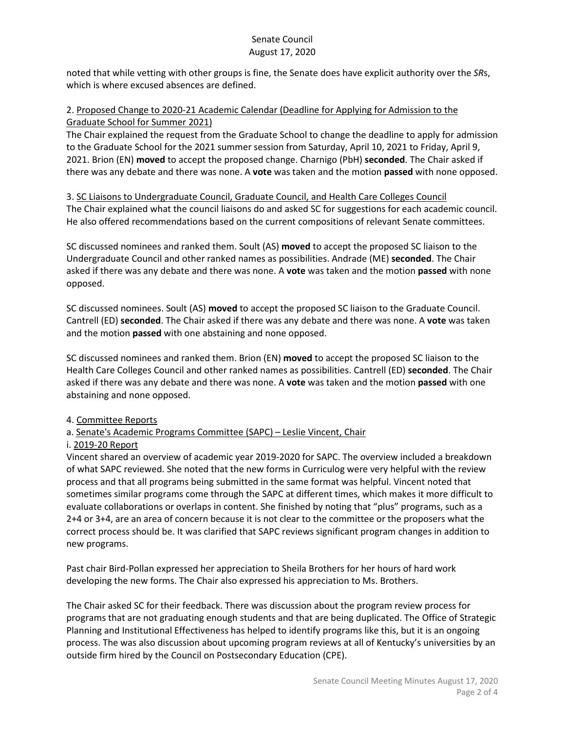noted that while vetting with other groups is fine, the Senate does have explicit authority over the *SR*s, which is where excused absences are defined.

#### 2. Proposed Change to 2020-21 Academic Calendar (Deadline for Applying for Admission to the Graduate School for Summer 2021)

The Chair explained the request from the Graduate School to change the deadline to apply for admission to the Graduate School for the 2021 summer session from Saturday, April 10, 2021 to Friday, April 9, 2021. Brion (EN) **moved** to accept the proposed change. Charnigo (PbH) **seconded**. The Chair asked if there was any debate and there was none. A **vote** was taken and the motion **passed** with none opposed.

3. SC Liaisons to Undergraduate Council, Graduate Council, and Health Care Colleges Council The Chair explained what the council liaisons do and asked SC for suggestions for each academic council. He also offered recommendations based on the current compositions of relevant Senate committees.

SC discussed nominees and ranked them. Soult (AS) **moved** to accept the proposed SC liaison to the Undergraduate Council and other ranked names as possibilities. Andrade (ME) **seconded**. The Chair asked if there was any debate and there was none. A **vote** was taken and the motion **passed** with none opposed.

SC discussed nominees. Soult (AS) **moved** to accept the proposed SC liaison to the Graduate Council. Cantrell (ED) **seconded**. The Chair asked if there was any debate and there was none. A **vote** was taken and the motion **passed** with one abstaining and none opposed.

SC discussed nominees and ranked them. Brion (EN) **moved** to accept the proposed SC liaison to the Health Care Colleges Council and other ranked names as possibilities. Cantrell (ED) **seconded**. The Chair asked if there was any debate and there was none. A **vote** was taken and the motion **passed** with one abstaining and none opposed.

## 4. Committee Reports

## a. Senate's Academic Programs Committee (SAPC) – Leslie Vincent, Chair

## i. 2019-20 Report

Vincent shared an overview of academic year 2019-2020 for SAPC. The overview included a breakdown of what SAPC reviewed. She noted that the new forms in Curriculog were very helpful with the review process and that all programs being submitted in the same format was helpful. Vincent noted that sometimes similar programs come through the SAPC at different times, which makes it more difficult to evaluate collaborations or overlaps in content. She finished by noting that "plus" programs, such as a 2+4 or 3+4, are an area of concern because it is not clear to the committee or the proposers what the correct process should be. It was clarified that SAPC reviews significant program changes in addition to new programs.

Past chair Bird-Pollan expressed her appreciation to Sheila Brothers for her hours of hard work developing the new forms. The Chair also expressed his appreciation to Ms. Brothers.

The Chair asked SC for their feedback. There was discussion about the program review process for programs that are not graduating enough students and that are being duplicated. The Office of Strategic Planning and Institutional Effectiveness has helped to identify programs like this, but it is an ongoing process. The was also discussion about upcoming program reviews at all of Kentucky's universities by an outside firm hired by the Council on Postsecondary Education (CPE).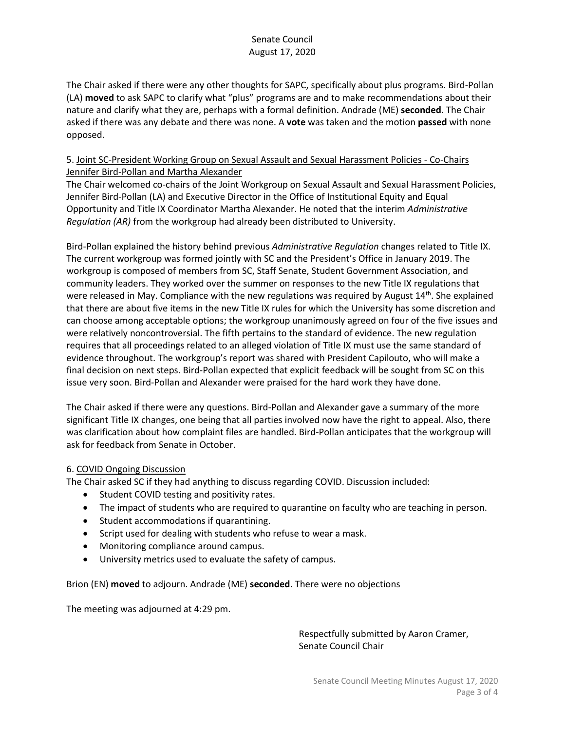The Chair asked if there were any other thoughts for SAPC, specifically about plus programs. Bird-Pollan (LA) **moved** to ask SAPC to clarify what "plus" programs are and to make recommendations about their nature and clarify what they are, perhaps with a formal definition. Andrade (ME) **seconded**. The Chair asked if there was any debate and there was none. A **vote** was taken and the motion **passed** with none opposed.

#### 5. Joint SC-President Working Group on Sexual Assault and Sexual Harassment Policies - Co-Chairs Jennifer Bird-Pollan and Martha Alexander

The Chair welcomed co-chairs of the Joint Workgroup on Sexual Assault and Sexual Harassment Policies, Jennifer Bird-Pollan (LA) and Executive Director in the Office of Institutional Equity and Equal Opportunity and Title IX Coordinator Martha Alexander. He noted that the interim *Administrative Regulation (AR)* from the workgroup had already been distributed to University.

Bird-Pollan explained the history behind previous *Administrative Regulation* changes related to Title IX. The current workgroup was formed jointly with SC and the President's Office in January 2019. The workgroup is composed of members from SC, Staff Senate, Student Government Association, and community leaders. They worked over the summer on responses to the new Title IX regulations that were released in May. Compliance with the new regulations was required by August  $14<sup>th</sup>$ . She explained that there are about five items in the new Title IX rules for which the University has some discretion and can choose among acceptable options; the workgroup unanimously agreed on four of the five issues and were relatively noncontroversial. The fifth pertains to the standard of evidence. The new regulation requires that all proceedings related to an alleged violation of Title IX must use the same standard of evidence throughout. The workgroup's report was shared with President Capilouto, who will make a final decision on next steps. Bird-Pollan expected that explicit feedback will be sought from SC on this issue very soon. Bird-Pollan and Alexander were praised for the hard work they have done.

The Chair asked if there were any questions. Bird-Pollan and Alexander gave a summary of the more significant Title IX changes, one being that all parties involved now have the right to appeal. Also, there was clarification about how complaint files are handled. Bird-Pollan anticipates that the workgroup will ask for feedback from Senate in October.

## 6. COVID Ongoing Discussion

The Chair asked SC if they had anything to discuss regarding COVID. Discussion included:

- Student COVID testing and positivity rates.
- The impact of students who are required to quarantine on faculty who are teaching in person.
- Student accommodations if quarantining.
- Script used for dealing with students who refuse to wear a mask.
- Monitoring compliance around campus.
- University metrics used to evaluate the safety of campus.

Brion (EN) **moved** to adjourn. Andrade (ME) **seconded**. There were no objections

The meeting was adjourned at 4:29 pm.

Respectfully submitted by Aaron Cramer, Senate Council Chair